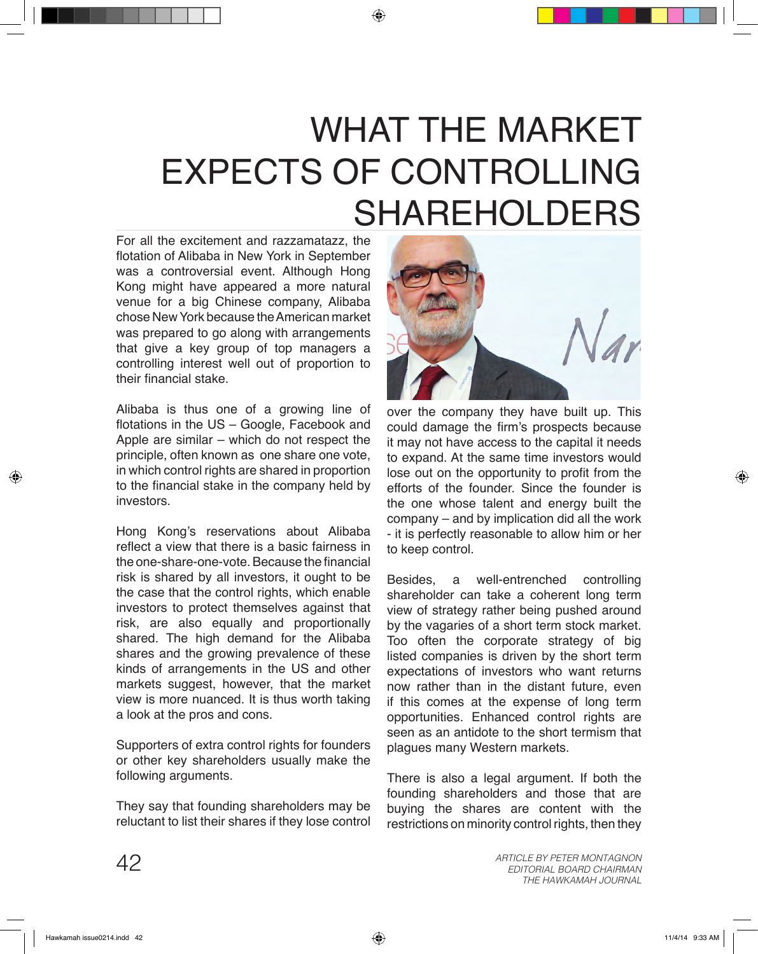## WHAT THE MARKET EXPECTS OF CONTROLLING SHAREHOLDERS

For all the excitement and razzamatazz, the flotation of Alibaba in New York in September was a controversial event. Although Hong Kong might have appeared a more natural venue for a big Chinese company, Alibaba chose New York because the American market was prepared to go along with arrangements that give a key group of top managers a controlling interest well out of proportion to their financial stake.

Alibaba is thus one of a growing line of flotations in the US – Google, Facebook and Apple are similar – which do not respect the principle, often known as one share one vote, in which control rights are shared in proportion to the financial stake in the company held by investors.

Hong Kong's reservations about Alibaba reflect a view that there is a basic fairness in the one-share-one-vote. Because the financial risk is shared by all investors, it ought to be the case that the control rights, which enable investors to protect themselves against that risk, are also equally and proportionally shared. The high demand for the Alibaba shares and the growing prevalence of these kinds of arrangements in the US and other markets suggest, however, that the market view is more nuanced. It is thus worth taking a look at the pros and cons.

Supporters of extra control rights for founders or other key shareholders usually make the following arguments.

They say that founding shareholders may be reluctant to list their shares if they lose control



over the company they have built up. This could damage the firm's prospects because it may not have access to the capital it needs to expand. At the same time investors would lose out on the opportunity to profit from the efforts of the founder. Since the founder is the one whose talent and energy built the company – and by implication did all the work - it is perfectly reasonable to allow him or her to keep control.

Besides, a well-entrenched controlling shareholder can take a coherent long term view of strategy rather being pushed around by the vagaries of a short term stock market. Too often the corporate strategy of big listed companies is driven by the short term expectations of investors who want returns now rather than in the distant future, even if this comes at the expense of long term opportunities. Enhanced control rights are seen as an antidote to the short termism that plagues many Western markets.

There is also a legal argument. If both the founding shareholders and those that are buying the shares are content with the restrictions on minority control rights, then they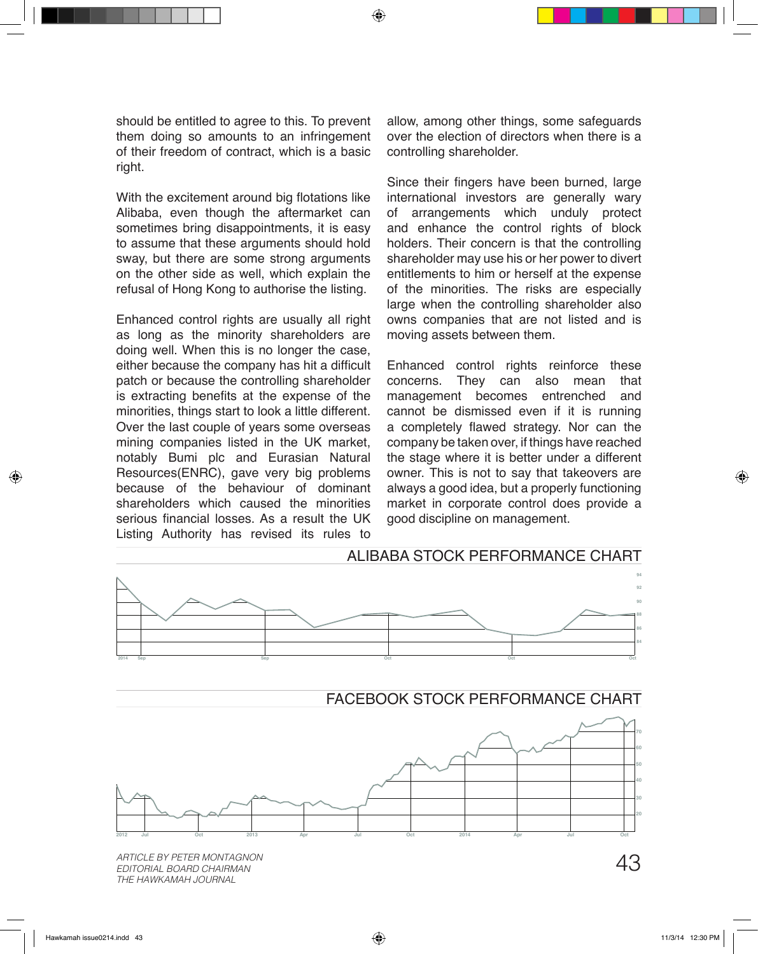should be entitled to agree to this. To prevent them doing so amounts to an infringement of their freedom of contract, which is a basic right.

With the excitement around big flotations like Alibaba, even though the aftermarket can sometimes bring disappointments, it is easy to assume that these arguments should hold sway, but there are some strong arguments on the other side as well, which explain the refusal of Hong Kong to authorise the listing.

Enhanced control rights are usually all right as long as the minority shareholders are doing well. When this is no longer the case, either because the company has hit a difficult patch or because the controlling shareholder is extracting benefits at the expense of the minorities, things start to look a little different. Over the last couple of years some overseas mining companies listed in the UK market, notably Bumi plc and Eurasian Natural Resources(ENRC), gave very big problems because of the behaviour of dominant shareholders which caused the minorities serious financial losses. As a result the UK Listing Authority has revised its rules to

allow, among other things, some safeguards over the election of directors when there is a controlling shareholder.

Since their fingers have been burned, large international investors are generally wary of arrangements which unduly protect and enhance the control rights of block holders. Their concern is that the controlling shareholder may use his or her power to divert entitlements to him or herself at the expense of the minorities. The risks are especially large when the controlling shareholder also owns companies that are not listed and is moving assets between them.

Enhanced control rights reinforce these concerns. They can also mean that<br>management becomes entrenched and management becomes entrenched cannot be dismissed even if it is running a completely flawed strategy. Nor can the company be taken over, if things have reached the stage where it is better under a different owner. This is not to say that takeovers are always a good idea, but a properly functioning market in corporate control does provide a good discipline on management.



43 *ARTICLE BY PETER MONTAGNON EDITORIAL BOARD CHAIRMAN THE HAWKAMAH JOURNAL*